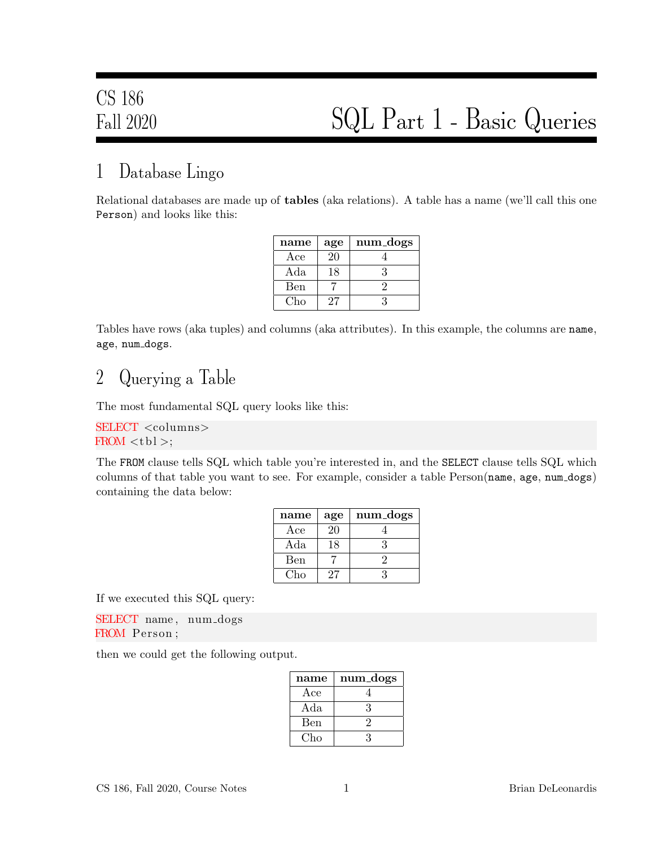### 1 Database Lingo

Relational databases are made up of tables (aka relations). A table has a name (we'll call this one Person) and looks like this:

| name | age | num_dogs |
|------|-----|----------|
| Ace  | 20  |          |
| Ada  | 18  | २        |
| Ben  |     |          |
| Cho. | 27  |          |

Tables have rows (aka tuples) and columns (aka attributes). In this example, the columns are name, age, num dogs.

#### 2 Querying a Table

The most fundamental SQL query looks like this:

SELECT <columns>  $FROM < t b1$ ;

The FROM clause tells SQL which table you're interested in, and the SELECT clause tells SQL which columns of that table you want to see. For example, consider a table Person(name, age, num dogs) containing the data below:

| name | age | num_dogs |
|------|-----|----------|
| Ace  | 20  |          |
| Ada  | 18  |          |
| Ben  |     |          |
| Cho  | 27  |          |

If we executed this SQL query:

SELECT name, num\_dogs FROM Person ;

then we could get the following output.

| name | num_dogs |
|------|----------|
| Ace  |          |
| Ada  | 3        |
| Ben  |          |
| Cho  | -2       |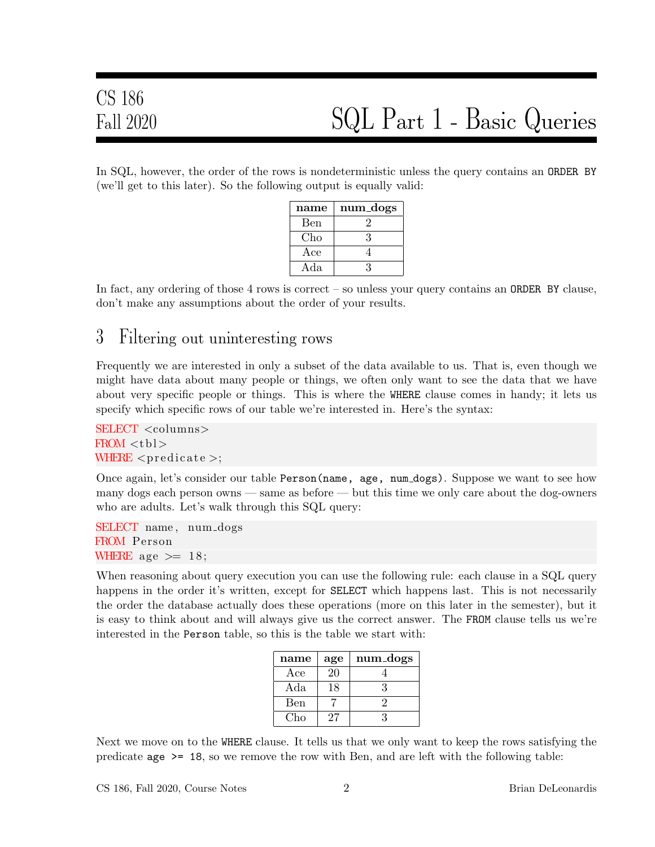In SQL, however, the order of the rows is nondeterministic unless the query contains an ORDER BY (we'll get to this later). So the following output is equally valid:

| name | num_dogs |
|------|----------|
| Ben  |          |
| Cho  | 3        |
| Ace  |          |
| Ada  | 2        |

In fact, any ordering of those  $4$  rows is correct – so unless your query contains an **ORDER** BY clause, don't make any assumptions about the order of your results.

#### 3 Filtering out uninteresting rows

Frequently we are interested in only a subset of the data available to us. That is, even though we might have data about many people or things, we often only want to see the data that we have about very specific people or things. This is where the WHERE clause comes in handy; it lets us specify which specific rows of our table we're interested in. Here's the syntax:

SELECT <columns>  $FROM <$ tbl $>$ WHERE  $\langle$  predicate  $\rangle$ ;

Once again, let's consider our table Person(name, age, num dogs). Suppose we want to see how many dogs each person owns — same as before — but this time we only care about the dog-owners who are adults. Let's walk through this SQL query:

SELECT name, num\_dogs FROM Person WHERE age  $\geq 18$ ;

When reasoning about query execution you can use the following rule: each clause in a SQL query happens in the order it's written, except for **SELECT** which happens last. This is not necessarily the order the database actually does these operations (more on this later in the semester), but it is easy to think about and will always give us the correct answer. The FROM clause tells us we're interested in the Person table, so this is the table we start with:

| name         | age | num_dogs |
|--------------|-----|----------|
| $_{\rm Ace}$ | 20  |          |
| Ada          | 18  | ર        |
| Ben          |     |          |
| Cho          | 27  |          |

Next we move on to the WHERE clause. It tells us that we only want to keep the rows satisfying the predicate age >= 18, so we remove the row with Ben, and are left with the following table: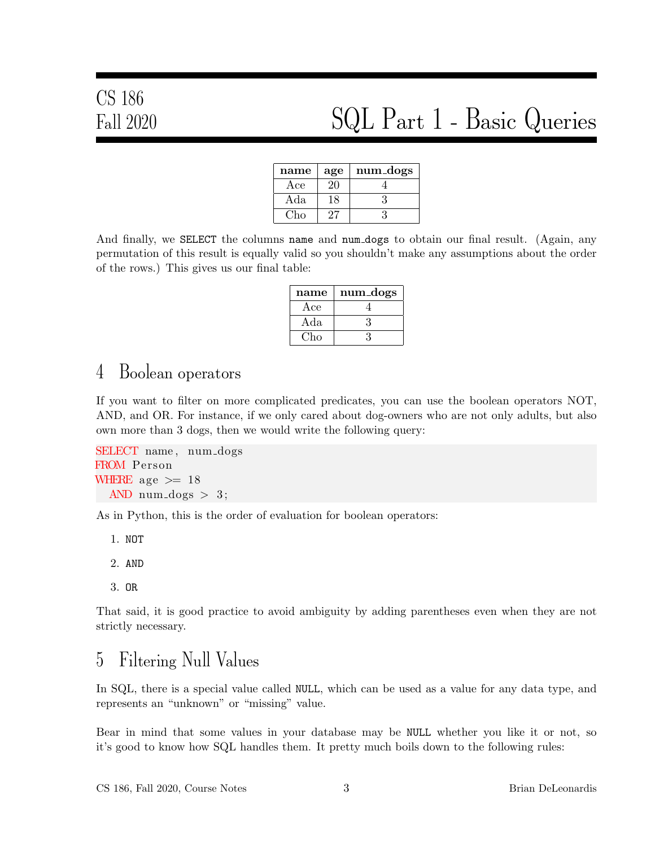# CS 186

## Fall 2020 SQL Part 1 - Basic Queries

| name | age | num_dogs |
|------|-----|----------|
| Ace  | 20  |          |
| Ada  | 8   | 3        |
| ∴'ho |     |          |

And finally, we SELECT the columns name and num dogs to obtain our final result. (Again, any permutation of this result is equally valid so you shouldn't make any assumptions about the order of the rows.) This gives us our final table:

| name | num_dogs |
|------|----------|
| Ace  |          |
| Ada  |          |
| Cho  |          |

#### 4 Boolean operators

If you want to filter on more complicated predicates, you can use the boolean operators NOT, AND, and OR. For instance, if we only cared about dog-owners who are not only adults, but also own more than 3 dogs, then we would write the following query:

```
SELECT name, num_dogs
FROM Person
WHERE age \geq 18
  AND num dogs > 3;
```
As in Python, this is the order of evaluation for boolean operators:

- 1. NOT
- 2. AND
- 3. OR

That said, it is good practice to avoid ambiguity by adding parentheses even when they are not strictly necessary.

#### 5 Filtering Null Values

In SQL, there is a special value called NULL, which can be used as a value for any data type, and represents an "unknown" or "missing" value.

Bear in mind that some values in your database may be NULL whether you like it or not, so it's good to know how SQL handles them. It pretty much boils down to the following rules: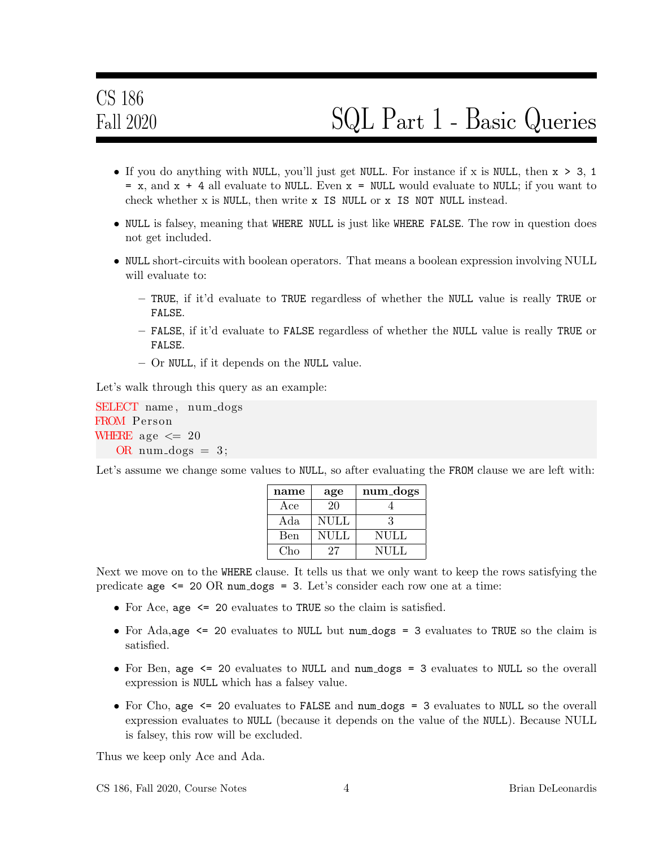- If you do anything with NULL, you'll just get NULL. For instance if x is NULL, then  $x > 3$ , 1  $= x$ , and  $x + 4$  all evaluate to NULL. Even  $x =$  NULL would evaluate to NULL; if you want to check whether x is NULL, then write x IS NULL or x IS NOT NULL instead.
- NULL is falsey, meaning that WHERE NULL is just like WHERE FALSE. The row in question does not get included.
- NULL short-circuits with boolean operators. That means a boolean expression involving NULL will evaluate to:
	- TRUE, if it'd evaluate to TRUE regardless of whether the NULL value is really TRUE or FALSE.
	- FALSE, if it'd evaluate to FALSE regardless of whether the NULL value is really TRUE or FALSE.
	- Or NULL, if it depends on the NULL value.

Let's walk through this query as an example:

SELECT name, num\_dogs FROM Person WHERE age  $\leq$  20 OR num\_dogs  $= 3$ ;

Let's assume we change some values to NULL, so after evaluating the FROM clause we are left with:

| name        | age         | num_dogs    |
|-------------|-------------|-------------|
| Ace         | 20          |             |
| Ada         | <b>NULL</b> | ર           |
| <b>B</b> en | <b>NULL</b> | NULL        |
| Cho         | 27          | <b>NULL</b> |

Next we move on to the WHERE clause. It tells us that we only want to keep the rows satisfying the predicate age  $\leq$  20 OR num dogs = 3. Let's consider each row one at a time:

- For Ace, age  $\leq 20$  evaluates to TRUE so the claim is satisfied.
- For Ada,age  $\leq$  20 evaluates to NULL but num dogs = 3 evaluates to TRUE so the claim is satisfied.
- For Ben, age  $\leq$  20 evaluates to NULL and num dogs = 3 evaluates to NULL so the overall expression is NULL which has a falsey value.
- For Cho, age  $\leq$  20 evaluates to FALSE and num dogs = 3 evaluates to NULL so the overall expression evaluates to NULL (because it depends on the value of the NULL). Because NULL is falsey, this row will be excluded.

Thus we keep only Ace and Ada.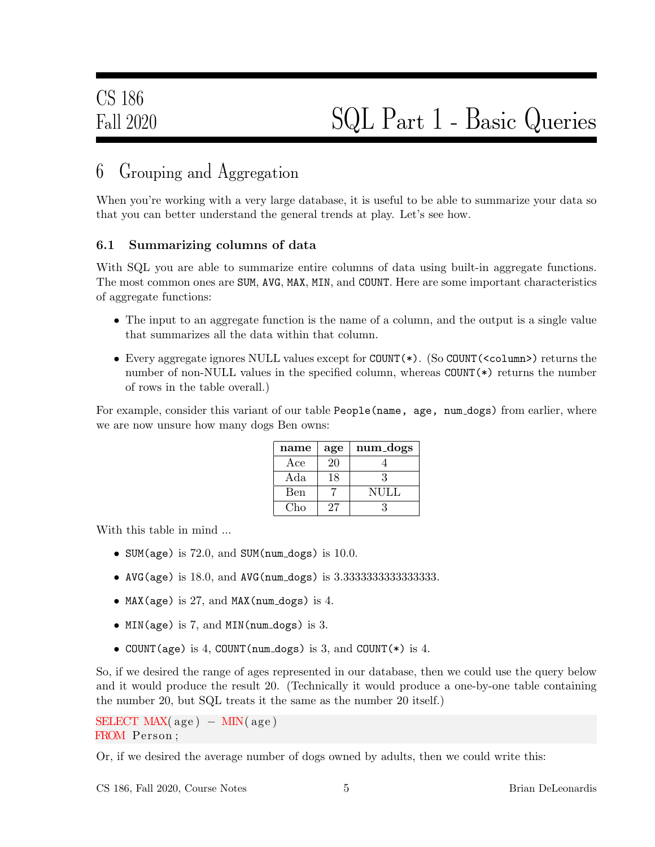### 6 Grouping and Aggregation

When you're working with a very large database, it is useful to be able to summarize your data so that you can better understand the general trends at play. Let's see how.

#### 6.1 Summarizing columns of data

With SQL you are able to summarize entire columns of data using built-in aggregate functions. The most common ones are SUM, AVG, MAX, MIN, and COUNT. Here are some important characteristics of aggregate functions:

- The input to an aggregate function is the name of a column, and the output is a single value that summarizes all the data within that column.
- Every aggregate ignores NULL values except for COUNT(\*). (So COUNT(<column>) returns the number of non-NULL values in the specified column, whereas COUNT(\*) returns the number of rows in the table overall.)

For example, consider this variant of our table People(name, age, num dogs) from earlier, where we are now unsure how many dogs Ben owns:

| name | age | num_dogs    |
|------|-----|-------------|
| Ace  | 20  |             |
| Ada  | 18  |             |
| Ben  |     | <b>NULL</b> |
| Cho  | 27  |             |

With this table in mind ...

- SUM(age) is  $72.0$ , and SUM(num\_dogs) is  $10.0$ .
- AVG(age) is 18.0, and AVG(num dogs) is 3.3333333333333333.
- MAX(age) is 27, and MAX(num\_dogs) is 4.
- MIN(age) is 7, and MIN(num dogs) is 3.
- COUNT(age) is 4, COUNT(num\_dogs) is 3, and COUNT(\*) is 4.

So, if we desired the range of ages represented in our database, then we could use the query below and it would produce the result 20. (Technically it would produce a one-by-one table containing the number 20, but SQL treats it the same as the number 20 itself.)

```
SELECT MAX(age) – MIN(age)
FROM Person ;
```
Or, if we desired the average number of dogs owned by adults, then we could write this: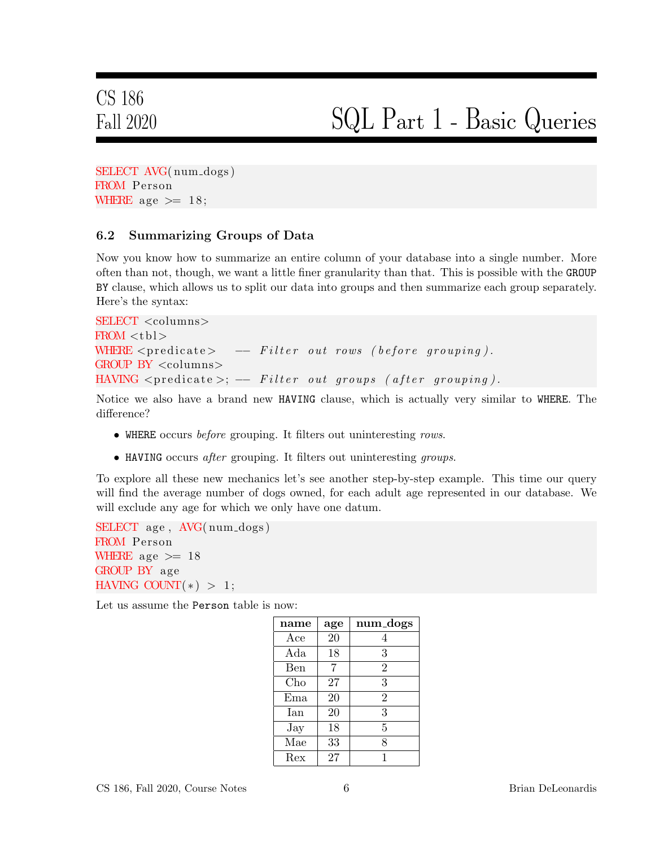# CS 186

## Fall 2020 SQL Part 1 - Basic Queries

SELECT AVG(num\_dogs) FROM Person WHERE age  $\geq 18$ ;

#### 6.2 Summarizing Groups of Data

Now you know how to summarize an entire column of your database into a single number. More often than not, though, we want a little finer granularity than that. This is possible with the GROUP BY clause, which allows us to split our data into groups and then summarize each group separately. Here's the syntax:

```
SELECT <columns>
FROM < b>WHERE \langle predicate\rangle -- Filter out rows (before grouping).
GROUP BY <columns>
HAVING \lepredicate >; -F{\ i}lter \ out \ groups \ (after \ grouping).
```
Notice we also have a brand new HAVING clause, which is actually very similar to WHERE. The difference?

- WHERE occurs before grouping. It filters out uninteresting rows.
- HAVING occurs after grouping. It filters out uninteresting groups.

To explore all these new mechanics let's see another step-by-step example. This time our query will find the average number of dogs owned, for each adult age represented in our database. We will exclude any age for which we only have one datum.

```
SELECT age, AVG(num_dogs)
FROM Person
WHERE age \geq 18
GROUP BY age
HAVING COUNT(*) > 1;
```
Let us assume the Person table is now:

| name       | age | num_dogs       |
|------------|-----|----------------|
| Ace        | 20  | 4              |
| Ada        | 18  | 3              |
| Ben        | 7   | $\overline{2}$ |
| Cho        | 27  | 3              |
| $E$ ma     | 20  | $\overline{2}$ |
| <b>Ian</b> | 20  | 3              |
| $\rm\,Jay$ | 18  | 5              |
| Mae        | 33  | 8              |
| Rex        | 27  |                |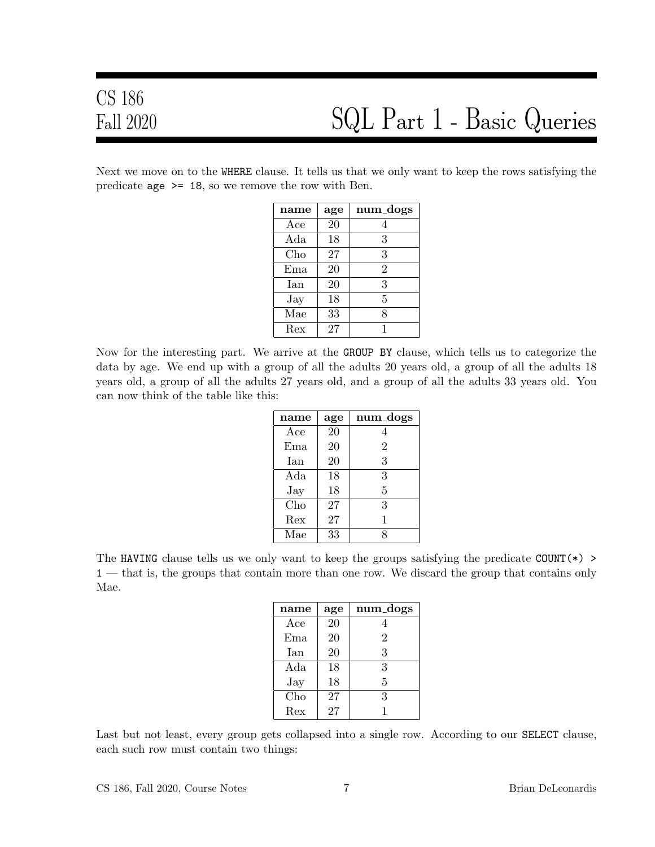Next we move on to the WHERE clause. It tells us that we only want to keep the rows satisfying the predicate  $age \ge 18$ , so we remove the row with Ben.

| name         | age | num_dogs       |
|--------------|-----|----------------|
| $_{\rm Ace}$ | 20  |                |
| Ada          | 18  | 3              |
| Cho          | 27  | 3              |
| Ema          | 20  | $\overline{2}$ |
| Ian          | 20  | 3              |
| $\rm\,Jay$   | 18  | 5              |
| Mae          | 33  | 8              |
| Rex          | 27  | 1              |

Now for the interesting part. We arrive at the GROUP BY clause, which tells us to categorize the data by age. We end up with a group of all the adults 20 years old, a group of all the adults 18 years old, a group of all the adults 27 years old, and a group of all the adults 33 years old. You can now think of the table like this:

| name       | age | num_dogs       |
|------------|-----|----------------|
| Ace        | 20  |                |
| $E$ ma     | 20  | $\overline{2}$ |
| Ian        | 20  | 3              |
| Ada        | 18  | 3              |
| $\rm\,Jay$ | 18  | 5              |
| Cho        | 27  | 3              |
| Rex        | 27  |                |
| Mae        | 33  |                |

The HAVING clause tells us we only want to keep the groups satisfying the predicate COUNT( $\ast$ ) > 1 — that is, the groups that contain more than one row. We discard the group that contains only Mae.

| name       | age | num_dogs       |
|------------|-----|----------------|
| Acc        | 20  |                |
| Ema        | 20  | $\overline{2}$ |
| <b>Tan</b> | 20  | 3              |
| Ada        | 18  | 3              |
| $\rm\,Jay$ | 18  | 5              |
| Cho        | 27  | 3              |
| Rex        | 27  |                |

Last but not least, every group gets collapsed into a single row. According to our SELECT clause, each such row must contain two things: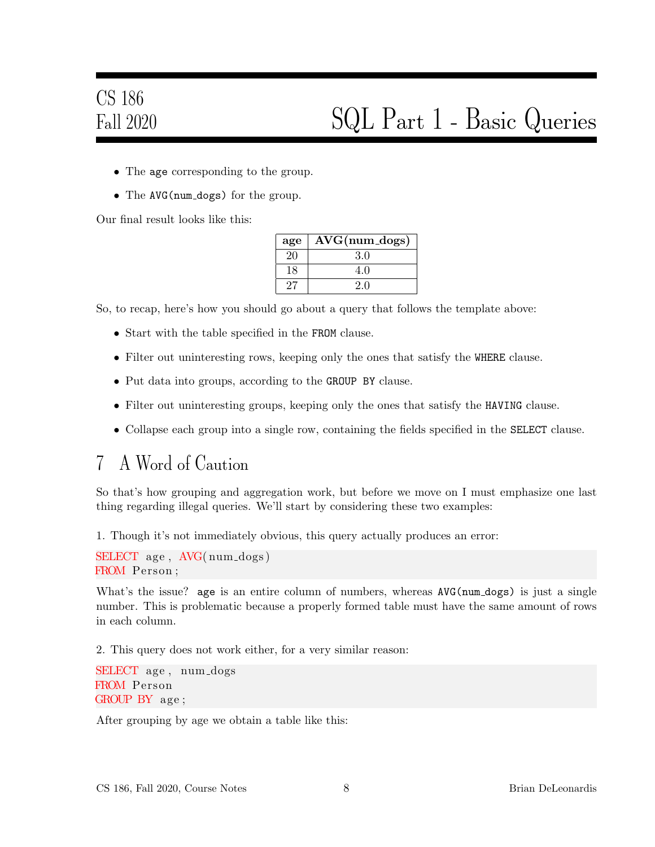- The age corresponding to the group.
- The AVG(num\_dogs) for the group.

Our final result looks like this:

| age        | $AVG(num_dogs)$ |
|------------|-----------------|
| 20         | 3.0             |
| 18         | 4.0             |
| $\prime$ ( | 20              |

So, to recap, here's how you should go about a query that follows the template above:

- Start with the table specified in the FROM clause.
- Filter out uninteresting rows, keeping only the ones that satisfy the WHERE clause.
- Put data into groups, according to the GROUP BY clause.
- Filter out uninteresting groups, keeping only the ones that satisfy the HAVING clause.
- Collapse each group into a single row, containing the fields specified in the SELECT clause.

#### 7 A Word of Caution

So that's how grouping and aggregation work, but before we move on I must emphasize one last thing regarding illegal queries. We'll start by considering these two examples:

1. Though it's not immediately obvious, this query actually produces an error:

```
SELECT age, AVG(num_dogs)
FROM Person ;
```
What's the issue? age is an entire column of numbers, whereas AVG(num\_dogs) is just a single number. This is problematic because a properly formed table must have the same amount of rows in each column.

2. This query does not work either, for a very similar reason:

```
SELECT age, num_dogs
FROM Person
GROUP BY age ;
```
After grouping by age we obtain a table like this: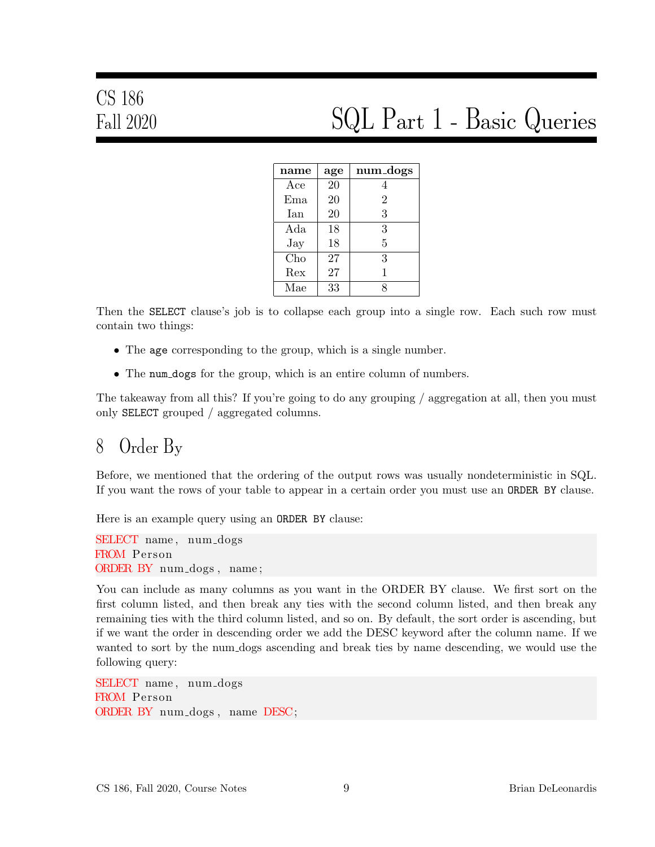| name       | age | num_dogs       |
|------------|-----|----------------|
| Ace        | 20  | 4              |
| Ema        | 20  | $\overline{2}$ |
| Ian        | 20  | 3              |
| Ada        | 18  | 3              |
| $\rm\,Jay$ | 18  | 5              |
| Cho        | 27  | 3              |
| Rex        | 27  | 1              |
| Mae        | 33  | Ջ              |

Then the SELECT clause's job is to collapse each group into a single row. Each such row must contain two things:

- The age corresponding to the group, which is a single number.
- The num dogs for the group, which is an entire column of numbers.

The takeaway from all this? If you're going to do any grouping / aggregation at all, then you must only SELECT grouped / aggregated columns.

#### 8 Order By

Before, we mentioned that the ordering of the output rows was usually nondeterministic in SQL. If you want the rows of your table to appear in a certain order you must use an ORDER BY clause.

Here is an example query using an ORDER BY clause:

SELECT name, num\_dogs FROM Person ORDER BY num\_dogs, name;

You can include as many columns as you want in the ORDER BY clause. We first sort on the first column listed, and then break any ties with the second column listed, and then break any remaining ties with the third column listed, and so on. By default, the sort order is ascending, but if we want the order in descending order we add the DESC keyword after the column name. If we wanted to sort by the num dogs ascending and break ties by name descending, we would use the following query:

SELECT name, num\_dogs FROM Person ORDER BY num dogs , name DESC;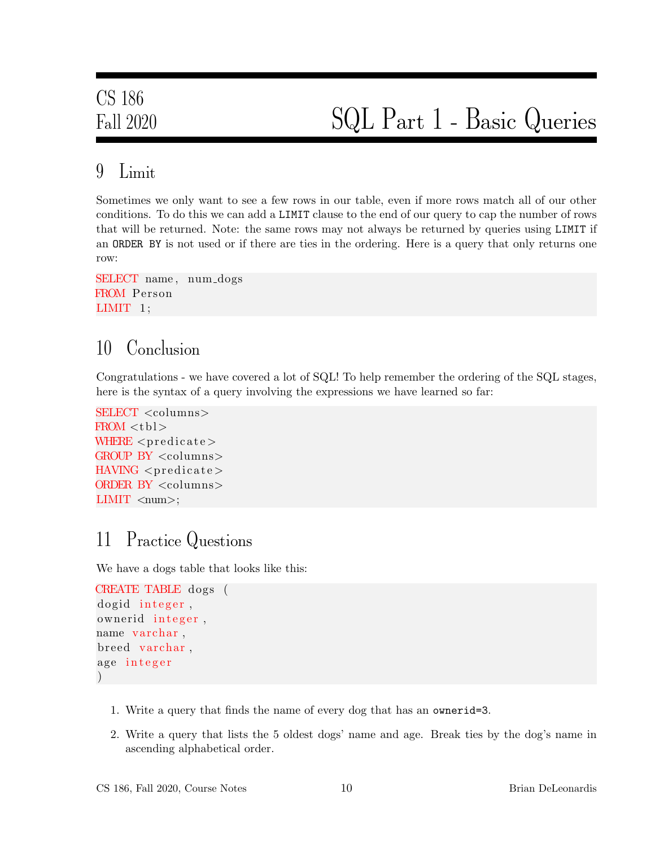#### 9 Limit

Sometimes we only want to see a few rows in our table, even if more rows match all of our other conditions. To do this we can add a LIMIT clause to the end of our query to cap the number of rows that will be returned. Note: the same rows may not always be returned by queries using LIMIT if an ORDER BY is not used or if there are ties in the ordering. Here is a query that only returns one row:

```
SELECT name, num_dogs
FROM Person
LIMIT 1;
```
### 10 Conclusion

Congratulations - we have covered a lot of SQL! To help remember the ordering of the SQL stages, here is the syntax of a query involving the expressions we have learned so far:

```
SELECT <columns>
FROM <sub>th</sub>WHERE \langle predicate >GROUP BY <columns>
HAVING <predicate>
ORDER BY <columns>
LIMIT \langlenum\rangle;
```
### 11 Practice Questions

We have a dogs table that looks like this:

```
CREATE TABLE dogs (
dogid integer,
ownerid integer,
name varchar,
breed varchar,
age integer
)
```
- 1. Write a query that finds the name of every dog that has an ownerid=3.
- 2. Write a query that lists the 5 oldest dogs' name and age. Break ties by the dog's name in ascending alphabetical order.